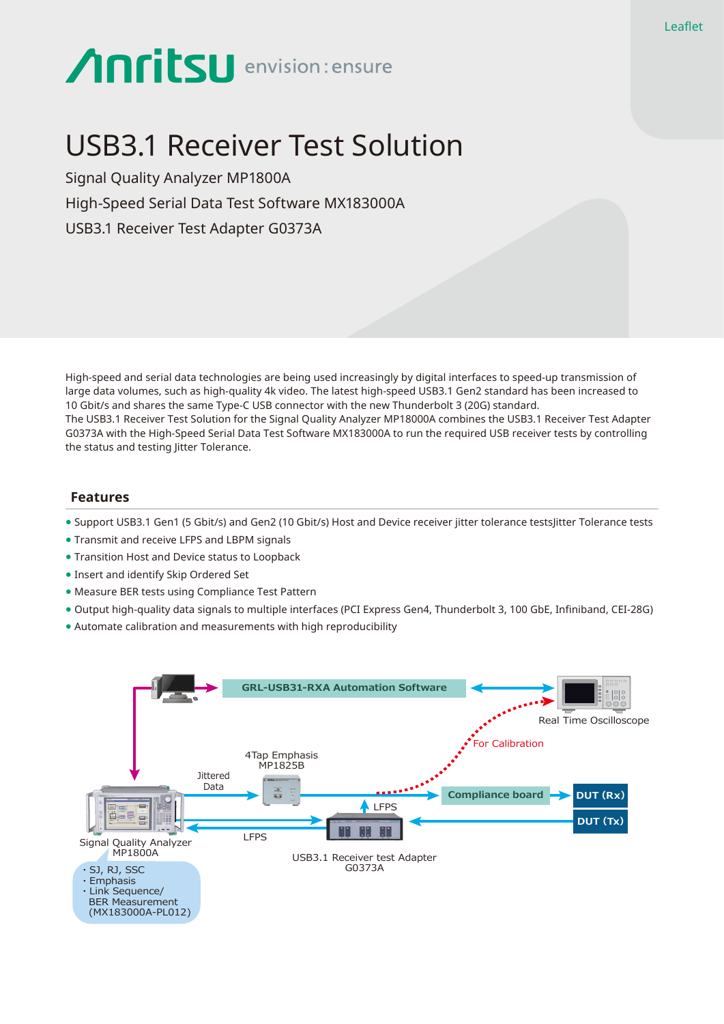# **Anritsu** envision: ensure

## USB3.1 Receiver Test Solution

Signal Quality Analyzer MP1800A High-Speed Serial Data Test Software MX183000A USB3.1 Receiver Test Adapter G0373A

High-speed and serial data technologies are being used increasingly by digital interfaces to speed-up transmission of large data volumes, such as high-quality 4k video. The latest high-speed USB3.1 Gen2 standard has been increased to 10 Gbit/s and shares the same Type-C USB connector with the new Thunderbolt 3 (20G) standard. The USB3.1 Receiver Test Solution for the Signal Quality Analyzer MP18000A combines the USB3.1 Receiver Test Adapter G0373A with the High-Speed Serial Data Test Software MX183000A to run the required USB receiver tests by controlling the status and testing litter Tolerance.

#### **Features**

- Support USB3.1 Gen1 (5 Gbit/s) and Gen2 (10 Gbit/s) Host and Device receiver jitter tolerance testsJitter Tolerance tests
- Transmit and receive LFPS and LBPM signals
- Transition Host and Device status to Loopback
- Insert and identify Skip Ordered Set
- Measure BER tests using Compliance Test Pattern
- Output high-quality data signals to multiple interfaces (PCI Express Gen4, Thunderbolt 3, 100 GbE, Infiniband, CEI-28G)
- Automate calibration and measurements with high reproducibility